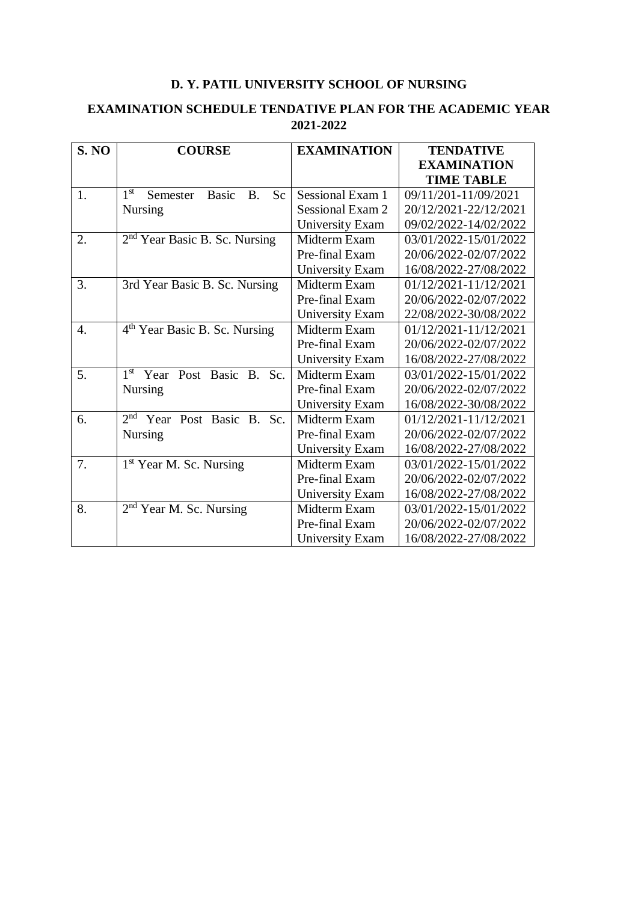## **D. Y. PATIL UNIVERSITY SCHOOL OF NURSING**

## **EXAMINATION SCHEDULE TENDATIVE PLAN FOR THE ACADEMIC YEAR 2021-2022**

| <b>S. NO</b>     | <b>COURSE</b>                                                            | <b>EXAMINATION</b>      | <b>TENDATIVE</b>      |
|------------------|--------------------------------------------------------------------------|-------------------------|-----------------------|
|                  |                                                                          |                         | <b>EXAMINATION</b>    |
|                  |                                                                          |                         | <b>TIME TABLE</b>     |
| 1.               | 1 <sup>st</sup><br>B <sub>1</sub><br>S <sub>c</sub><br>Semester<br>Basic | <b>Sessional Exam 1</b> | 09/11/201-11/09/2021  |
|                  | <b>Nursing</b>                                                           | <b>Sessional Exam 2</b> | 20/12/2021-22/12/2021 |
|                  |                                                                          | University Exam         | 09/02/2022-14/02/2022 |
| 2.               | $2nd$ Year Basic B. Sc. Nursing                                          | Midterm Exam            | 03/01/2022-15/01/2022 |
|                  |                                                                          | Pre-final Exam          | 20/06/2022-02/07/2022 |
|                  |                                                                          | University Exam         | 16/08/2022-27/08/2022 |
| 3.               | 3rd Year Basic B. Sc. Nursing                                            | Midterm Exam            | 01/12/2021-11/12/2021 |
|                  |                                                                          | Pre-final Exam          | 20/06/2022-02/07/2022 |
|                  |                                                                          | University Exam         | 22/08/2022-30/08/2022 |
| $\overline{4}$ . | 4 <sup>th</sup> Year Basic B. Sc. Nursing                                | Midterm Exam            | 01/12/2021-11/12/2021 |
|                  |                                                                          | Pre-final Exam          | 20/06/2022-02/07/2022 |
|                  |                                                                          | University Exam         | 16/08/2022-27/08/2022 |
| 5.               | 1st Year Post Basic B. Sc.                                               | Midterm Exam            | 03/01/2022-15/01/2022 |
|                  | <b>Nursing</b>                                                           | Pre-final Exam          | 20/06/2022-02/07/2022 |
|                  |                                                                          | University Exam         | 16/08/2022-30/08/2022 |
| 6.               | 2 <sub>nd</sub><br>Year Post Basic B. Sc.                                | Midterm Exam            | 01/12/2021-11/12/2021 |
|                  | <b>Nursing</b>                                                           | Pre-final Exam          | 20/06/2022-02/07/2022 |
|                  |                                                                          | University Exam         | 16/08/2022-27/08/2022 |
| 7.               | 1 <sup>st</sup> Year M. Sc. Nursing                                      | Midterm Exam            | 03/01/2022-15/01/2022 |
|                  |                                                                          | Pre-final Exam          | 20/06/2022-02/07/2022 |
|                  |                                                                          | University Exam         | 16/08/2022-27/08/2022 |
| 8.               | $2nd$ Year M. Sc. Nursing                                                | Midterm Exam            | 03/01/2022-15/01/2022 |
|                  |                                                                          | Pre-final Exam          | 20/06/2022-02/07/2022 |
|                  |                                                                          | University Exam         | 16/08/2022-27/08/2022 |